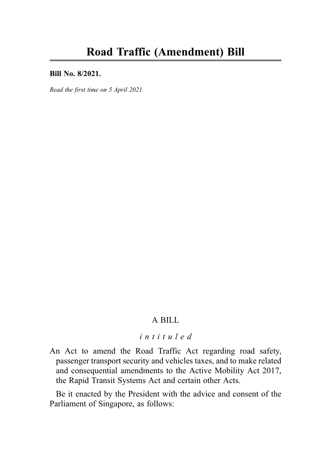#### Bill No. 8/2021.

Read the first time on 5 April 2021.

# A BILL

# intituled

An Act to amend the Road Traffic Act regarding road safety, passenger transport security and vehicles taxes, and to make related and consequential amendments to the Active Mobility Act 2017, the Rapid Transit Systems Act and certain other Acts.

Be it enacted by the President with the advice and consent of the Parliament of Singapore, as follows: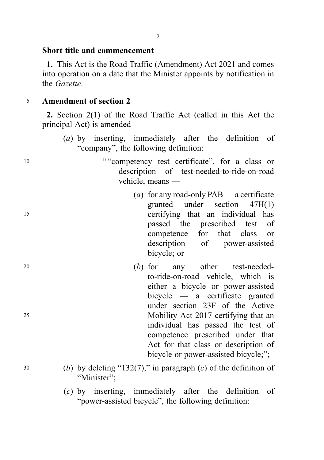## Short title and commencement

1. This Act is the Road Traffic (Amendment) Act 2021 and comes into operation on a date that the Minister appoints by notification in the Gazette.

# <sup>5</sup> Amendment of section 2

2. Section 2(1) of the Road Traffic Act (called in this Act the principal Act) is amended —

- (a) by inserting, immediately after the definition of "company", the following definition:
- 10 ""competency test certificate", for a class or description of test-needed-to-ride-on-road vehicle, means —
- (a) for any road-only  $PAB$  a certificate granted under section 47H(1) <sup>15</sup> certifying that an individual has passed the prescribed test of competence for that class or description of power-assisted bicycle; or
- <sup>20</sup> (b) for any other test-neededto-ride-on-road vehicle, which is either a bicycle or power-assisted bicycle — a certificate granted under section 23F of the Active <sup>25</sup> Mobility Act 2017 certifying that an individual has passed the test of competence prescribed under that Act for that class or description of bicycle or power-assisted bicycle;";
- $30$  (b) by deleting "132(7)," in paragraph (c) of the definition of "Minister":
	- (c) by inserting, immediately after the definition of "power-assisted bicycle", the following definition: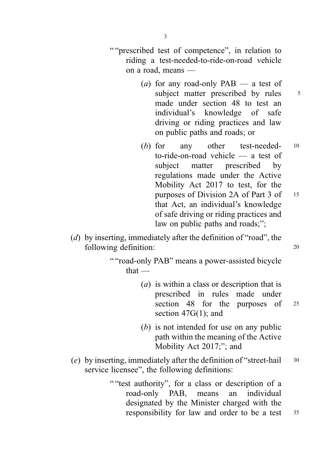- " "prescribed test of competence", in relation to riding a test-needed-to-ride-on-road vehicle on a road, means —
	- (*a*) for any road-only PAB a test of subject matter prescribed by rules 5 made under section 48 to test an individual's knowledge of safe driving or riding practices and law on public paths and roads; or
	- (b) for any other test-needed-  $10$ to-ride-on-road vehicle — a test of subject matter prescribed by regulations made under the Active Mobility Act 2017 to test, for the purposes of Division 2A of Part 3 of 15 that Act, an individual's knowledge of safe driving or riding practices and law on public paths and roads;";
- (d) by inserting, immediately after the definition of "road", the following definition: 20
	- "" road-only PAB" means a power-assisted bicycle that —
		- (a) is within a class or description that is prescribed in rules made under section 48 for the purposes of 25 section 47G(1); and
		- (b) is not intended for use on any public path within the meaning of the Active Mobility Act 2017;"; and
- (e) by inserting, immediately after the definition of "street-hail  $30$ service licensee", the following definitions:
	- "" test authority", for a class or description of a road-only PAB, means an individual designated by the Minister charged with the responsibility for law and order to be a test <sup>35</sup>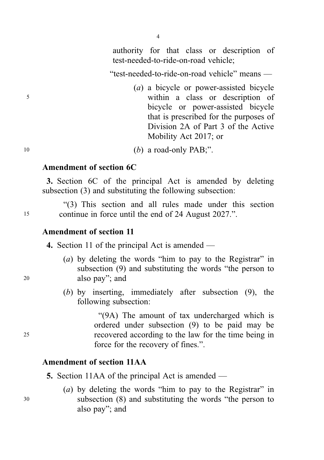authority for that class or description of test-needed-to-ride-on-road vehicle;

"test-needed-to-ride-on-road vehicle" means —

(a) a bicycle or power-assisted bicycle <sup>5</sup> within a class or description of bicycle or power-assisted bicycle that is prescribed for the purposes of Division 2A of Part 3 of the Active Mobility Act 2017; or

#### $10$  (b) a road-only PAB;".

## Amendment of section 6C

3. Section 6C of the principal Act is amended by deleting subsection (3) and substituting the following subsection:

"(3) This section and all rules made under this section <sup>15</sup> continue in force until the end of 24 August 2027.".

## Amendment of section 11

4. Section 11 of the principal Act is amended —

- (a) by deleting the words "him to pay to the Registrar" in subsection (9) and substituting the words "the person to <sup>20</sup> also pay"; and
	- (b) by inserting, immediately after subsection (9), the following subsection:

"(9A) The amount of tax undercharged which is ordered under subsection (9) to be paid may be <sup>25</sup> recovered according to the law for the time being in force for the recovery of fines.".

# Amendment of section 11AA

- 5. Section 11AA of the principal Act is amended —
- (a) by deleting the words "him to pay to the Registrar" in <sup>30</sup> subsection (8) and substituting the words "the person to also pay"; and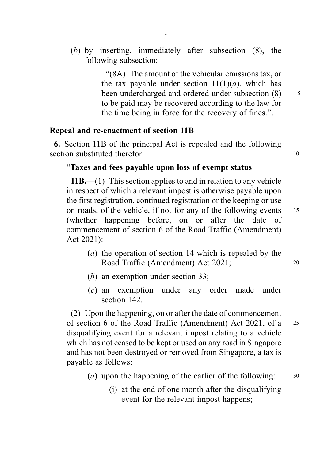(b) by inserting, immediately after subsection (8), the following subsection:

> "(8A) The amount of the vehicular emissions tax, or the tax payable under section  $11(1)(a)$ , which has been undercharged and ordered under subsection  $(8)$  5 to be paid may be recovered according to the law for the time being in force for the recovery of fines.".

# Repeal and re-enactment of section 11B

6. Section 11B of the principal Act is repealed and the following section substituted therefor: 10

# "Taxes and fees payable upon loss of exempt status

 $11B$ ,—(1) This section applies to and in relation to any vehicle in respect of which a relevant impost is otherwise payable upon the first registration, continued registration or the keeping or use on roads, of the vehicle, if not for any of the following events 15 (whether happening before, on or after the date of commencement of section 6 of the Road Traffic (Amendment) Act 2021):

- (a) the operation of section 14 which is repealed by the Road Traffic (Amendment) Act 2021; 20
- (b) an exemption under section 33;
- (c) an exemption under any order made under section 142.

(2) Upon the happening, on or after the date of commencement of section 6 of the Road Traffic (Amendment) Act 2021, of a <sup>25</sup> disqualifying event for a relevant impost relating to a vehicle which has not ceased to be kept or used on any road in Singapore and has not been destroyed or removed from Singapore, a tax is payable as follows:

- (*a*) upon the happening of the earlier of the following:  $30$ 
	- (i) at the end of one month after the disqualifying event for the relevant impost happens;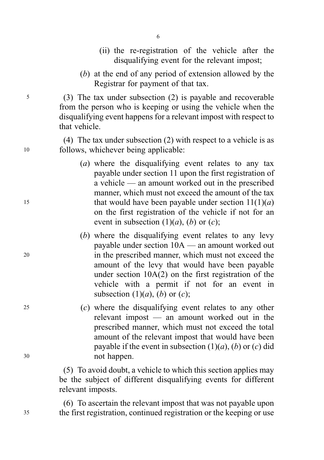- (ii) the re-registration of the vehicle after the disqualifying event for the relevant impost;
- (b) at the end of any period of extension allowed by the Registrar for payment of that tax.

<sup>5</sup> (3) The tax under subsection (2) is payable and recoverable from the person who is keeping or using the vehicle when the disqualifying event happens for a relevant impost with respect to that vehicle.

(4) The tax under subsection (2) with respect to a vehicle is as <sup>10</sup> follows, whichever being applicable:

- (a) where the disqualifying event relates to any tax payable under section 11 upon the first registration of a vehicle — an amount worked out in the prescribed manner, which must not exceed the amount of the tax 15 that would have been payable under section  $11(1)(a)$ on the first registration of the vehicle if not for an event in subsection  $(1)(a)$ ,  $(b)$  or  $(c)$ ;
- (b) where the disqualifying event relates to any levy payable under section 10A — an amount worked out <sup>20</sup> in the prescribed manner, which must not exceed the amount of the levy that would have been payable under section 10A(2) on the first registration of the vehicle with a permit if not for an event in subsection  $(1)(a)$ ,  $(b)$  or  $(c)$ ;
- <sup>25</sup> (c) where the disqualifying event relates to any other relevant impost — an amount worked out in the prescribed manner, which must not exceed the total amount of the relevant impost that would have been payable if the event in subsection  $(1)(a)$ ,  $(b)$  or  $(c)$  did <sup>30</sup> not happen.

(5) To avoid doubt, a vehicle to which this section applies may be the subject of different disqualifying events for different relevant imposts.

(6) To ascertain the relevant impost that was not payable upon <sup>35</sup> the first registration, continued registration or the keeping or use

6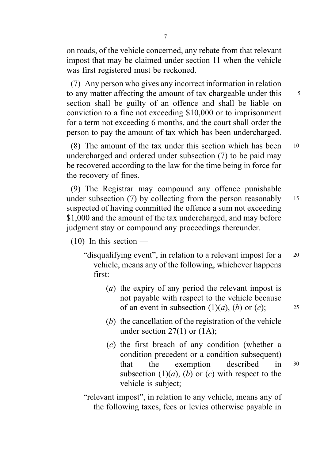on roads, of the vehicle concerned, any rebate from that relevant impost that may be claimed under section 11 when the vehicle was first registered must be reckoned.

(7) Any person who gives any incorrect information in relation to any matter affecting the amount of tax chargeable under this <sup>5</sup> section shall be guilty of an offence and shall be liable on conviction to a fine not exceeding \$10,000 or to imprisonment for a term not exceeding 6 months, and the court shall order the person to pay the amount of tax which has been undercharged.

(8) The amount of the tax under this section which has been <sup>10</sup> undercharged and ordered under subsection (7) to be paid may be recovered according to the law for the time being in force for the recovery of fines.

(9) The Registrar may compound any offence punishable under subsection  $(7)$  by collecting from the person reasonably 15 suspected of having committed the offence a sum not exceeding \$1,000 and the amount of the tax undercharged, and may before judgment stay or compound any proceedings thereunder.

- $(10)$  In this section
	- "disqualifying event", in relation to a relevant impost for a <sup>20</sup> vehicle, means any of the following, whichever happens first:
		- (a) the expiry of any period the relevant impost is not payable with respect to the vehicle because of an event in subsection  $(1)(a)$ ,  $(b)$  or  $(c)$ ; 25
		- (b) the cancellation of the registration of the vehicle under section  $27(1)$  or  $(1A)$ :
		- (c) the first breach of any condition (whether a condition precedent or a condition subsequent) that the exemption described in <sup>30</sup> subsection  $(1)(a)$ ,  $(b)$  or  $(c)$  with respect to the vehicle is subject;

"relevant impost", in relation to any vehicle, means any of the following taxes, fees or levies otherwise payable in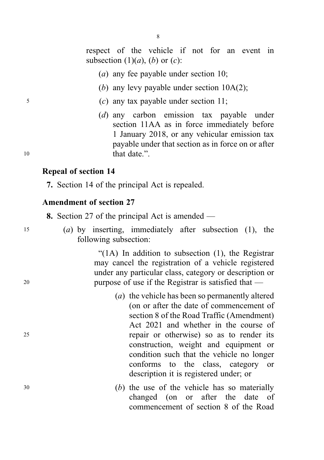respect of the vehicle if not for an event in subsection  $(1)(a)$ ,  $(b)$  or  $(c)$ :

- (a) any fee payable under section 10;
- (b) any levy payable under section  $10A(2)$ ;
- <sup>5</sup> (c) any tax payable under section 11;
- (d) any carbon emission tax payable under section 11AA as in force immediately before 1 January 2018, or any vehicular emission tax payable under that section as in force on or after 10 that date."

## Repeal of section 14

7. Section 14 of the principal Act is repealed.

# Amendment of section 27

8. Section 27 of the principal Act is amended —

<sup>15</sup> (a) by inserting, immediately after subsection (1), the following subsection:

"(1A) In addition to subsection (1), the Registrar may cancel the registration of a vehicle registered under any particular class, category or description or <sup>20</sup> purpose of use if the Registrar is satisfied that —

- (a) the vehicle has been so permanently altered (on or after the date of commencement of section 8 of the Road Traffic (Amendment) Act 2021 and whether in the course of <sup>25</sup> repair or otherwise) so as to render its construction, weight and equipment or condition such that the vehicle no longer conforms to the class, category or description it is registered under; or
- <sup>30</sup> (b) the use of the vehicle has so materially changed (on or after the date of commencement of section 8 of the Road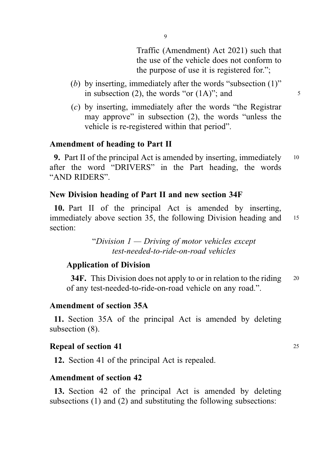Traffic (Amendment) Act 2021) such that the use of the vehicle does not conform to the purpose of use it is registered for.";

- (b) by inserting, immediately after the words "subsection (1)" in subsection (2), the words "or  $(1A)$ "; and  $5$
- (c) by inserting, immediately after the words "the Registrar may approve" in subsection (2), the words "unless the vehicle is re-registered within that period".

## Amendment of heading to Part II

**9.** Part II of the principal Act is amended by inserting, immediately  $10$ after the word "DRIVERS" in the Part heading, the words "AND RIDERS".

## New Division heading of Part II and new section 34F

10. Part II of the principal Act is amended by inserting, immediately above section 35, the following Division heading and 15 section:

> "Division  $1 -$  Driving of motor vehicles except test-needed-to-ride-on-road vehicles

## Application of Division

34F. This Division does not apply to or in relation to the riding 20 of any test-needed-to-ride-on-road vehicle on any road.".

#### Amendment of section 35A

11. Section 35A of the principal Act is amended by deleting subsection (8).

#### **Repeal of section 41** 25

12. Section 41 of the principal Act is repealed.

#### Amendment of section 42

13. Section 42 of the principal Act is amended by deleting subsections (1) and (2) and substituting the following subsections: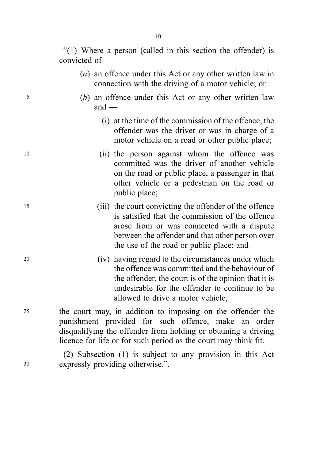"(1) Where a person (called in this section the offender) is convicted of —

- (a) an offence under this Act or any other written law in connection with the driving of a motor vehicle; or
- <sup>5</sup> (b) an offence under this Act or any other written law  $and$  —
	- (i) at the time of the commission of the offence, the offender was the driver or was in charge of a motor vehicle on a road or other public place;
- <sup>10</sup> (ii) the person against whom the offence was committed was the driver of another vehicle on the road or public place, a passenger in that other vehicle or a pedestrian on the road or public place;
- <sup>15</sup> (iii) the court convicting the offender of the offence is satisfied that the commission of the offence arose from or was connected with a dispute between the offender and that other person over the use of the road or public place; and
- <sup>20</sup> (iv) having regard to the circumstances under which the offence was committed and the behaviour of the offender, the court is of the opinion that it is undesirable for the offender to continue to be allowed to drive a motor vehicle,
- <sup>25</sup> the court may, in addition to imposing on the offender the punishment provided for such offence, make an order disqualifying the offender from holding or obtaining a driving licence for life or for such period as the court may think fit.

(2) Subsection (1) is subject to any provision in this Act <sup>30</sup> expressly providing otherwise.".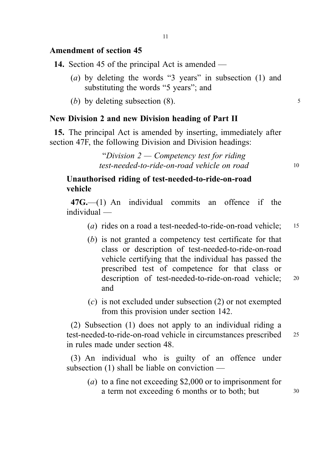# Amendment of section 45

14. Section 45 of the principal Act is amended —

- (a) by deleting the words "3 years" in subsection (1) and substituting the words "5 years"; and
- (b) by deleting subsection  $(8)$ .  $\frac{5}{2}$

# New Division 2 and new Division heading of Part II

15. The principal Act is amended by inserting, immediately after section 47F, the following Division and Division headings:

> "Division  $2 -$  Competency test for riding test-needed-to-ride-on-road vehicle on road 10

# Unauthorised riding of test-needed-to-ride-on-road vehicle

47G.—(1) An individual commits an offence if the individual —

- (a) rides on a road a test-needed-to-ride-on-road vehicle;  $15$
- (b) is not granted a competency test certificate for that class or description of test-needed-to-ride-on-road vehicle certifying that the individual has passed the prescribed test of competence for that class or description of test-needed-to-ride-on-road vehicle; <sup>20</sup> and
- (c) is not excluded under subsection (2) or not exempted from this provision under section 142.

(2) Subsection (1) does not apply to an individual riding a test-needed-to-ride-on-road vehicle in circumstances prescribed <sup>25</sup> in rules made under section 48.

(3) An individual who is guilty of an offence under subsection (1) shall be liable on conviction —

(a) to a fine not exceeding \$2,000 or to imprisonment for a term not exceeding 6 months or to both; but  $30$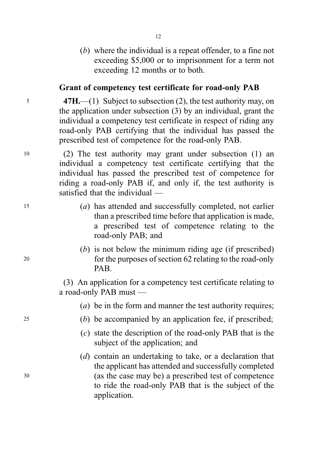(b) where the individual is a repeat offender, to a fine not exceeding \$5,000 or to imprisonment for a term not exceeding 12 months or to both.

# Grant of competency test certificate for road-only PAB

<sup>5</sup> 47H.—(1) Subject to subsection (2), the test authority may, on the application under subsection (3) by an individual, grant the individual a competency test certificate in respect of riding any road-only PAB certifying that the individual has passed the prescribed test of competence for the road-only PAB.

<sup>10</sup> (2) The test authority may grant under subsection (1) an individual a competency test certificate certifying that the individual has passed the prescribed test of competence for riding a road-only PAB if, and only if, the test authority is satisfied that the individual —

- <sup>15</sup> (a) has attended and successfully completed, not earlier than a prescribed time before that application is made, a prescribed test of competence relating to the road-only PAB; and
- (b) is not below the minimum riding age (if prescribed) <sup>20</sup> for the purposes of section 62 relating to the road-only PAB.

(3) An application for a competency test certificate relating to a road-only PAB must —

(*a*) be in the form and manner the test authority requires;

- <sup>25</sup> (b) be accompanied by an application fee, if prescribed;
	- (c) state the description of the road-only PAB that is the subject of the application; and
- (d) contain an undertaking to take, or a declaration that the applicant has attended and successfully completed <sup>30</sup> (as the case may be) a prescribed test of competence to ride the road-only PAB that is the subject of the application.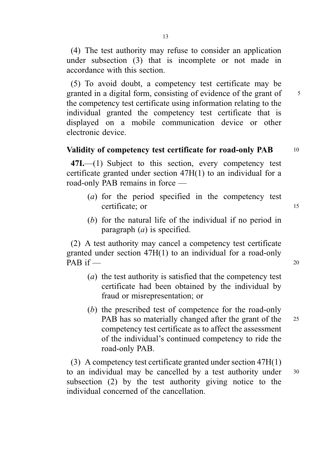(4) The test authority may refuse to consider an application under subsection (3) that is incomplete or not made in accordance with this section.

(5) To avoid doubt, a competency test certificate may be granted in a digital form, consisting of evidence of the grant of 5 the competency test certificate using information relating to the individual granted the competency test certificate that is displayed on a mobile communication device or other electronic device.

# Validity of competency test certificate for road-only PAB 10

47I.—(1) Subject to this section, every competency test certificate granted under section 47H(1) to an individual for a road-only PAB remains in force —

- (a) for the period specified in the competency test certificate; or 15
- (b) for the natural life of the individual if no period in paragraph  $(a)$  is specified.

(2) A test authority may cancel a competency test certificate granted under section 47H(1) to an individual for a road-only  $PAB$  if  $\_\$ 

- (a) the test authority is satisfied that the competency test certificate had been obtained by the individual by fraud or misrepresentation; or
- (b) the prescribed test of competence for the road-only PAB has so materially changed after the grant of the 25 competency test certificate as to affect the assessment of the individual's continued competency to ride the road-only PAB.

(3) A competency test certificate granted under section 47H(1) to an individual may be cancelled by a test authority under <sup>30</sup> subsection (2) by the test authority giving notice to the individual concerned of the cancellation.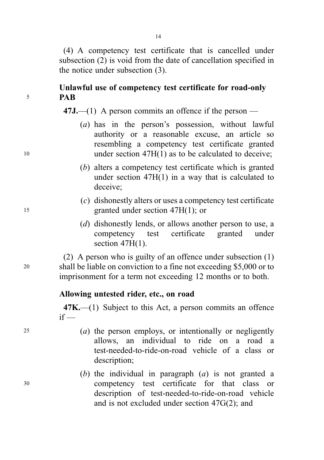(4) A competency test certificate that is cancelled under subsection (2) is void from the date of cancellation specified in the notice under subsection (3).

# Unlawful use of competency test certificate for road-only  $5$  PAR

 $47J$ ,—(1) A person commits an offence if the person —

- (a) has in the person's possession, without lawful authority or a reasonable excuse, an article so resembling a competency test certificate granted <sup>10</sup> under section 47H(1) as to be calculated to deceive;
	- (b) alters a competency test certificate which is granted under section 47H(1) in a way that is calculated to deceive;
- (c) dishonestly alters or uses a competency test certificate <sup>15</sup> granted under section 47H(1); or
	- (d) dishonestly lends, or allows another person to use, a competency test certificate granted under section  $47H(1)$ .

(2) A person who is guilty of an offence under subsection (1) <sup>20</sup> shall be liable on conviction to a fine not exceeding \$5,000 or to imprisonment for a term not exceeding 12 months or to both.

# Allowing untested rider, etc., on road

47K.—(1) Subject to this Act, a person commits an offence  $if -$ 

- $25$  (a) the person employs, or intentionally or negligently allows, an individual to ride on a road a test-needed-to-ride-on-road vehicle of a class or description;
- (b) the individual in paragraph  $(a)$  is not granted a <sup>30</sup> competency test certificate for that class or description of test-needed-to-ride-on-road vehicle and is not excluded under section 47G(2); and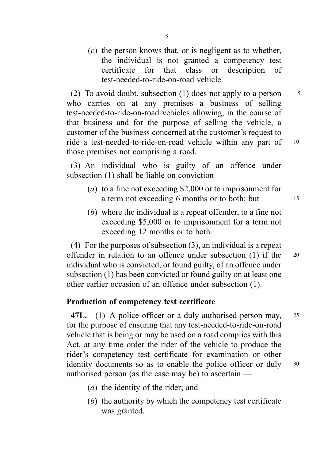$(c)$  the person knows that, or is negligent as to whether, the individual is not granted a competency test certificate for that class or description of test-needed-to-ride-on-road vehicle.

(2) To avoid doubt, subsection (1) does not apply to a person  $\frac{5}{10}$ who carries on at any premises a business of selling test-needed-to-ride-on-road vehicles allowing, in the course of that business and for the purpose of selling the vehicle, a customer of the business concerned at the customer's request to ride a test-needed-to-ride-on-road vehicle within any part of <sup>10</sup> those premises not comprising a road.

(3) An individual who is guilty of an offence under subsection (1) shall be liable on conviction —

- (a) to a fine not exceeding \$2,000 or to imprisonment for a term not exceeding 6 months or to both; but 15
- (b) where the individual is a repeat offender, to a fine not exceeding \$5,000 or to imprisonment for a term not exceeding 12 months or to both.

(4) For the purposes of subsection (3), an individual is a repeat offender in relation to an offence under subsection (1) if the <sup>20</sup> individual who is convicted, or found guilty, of an offence under subsection (1) has been convicted or found guilty on at least one other earlier occasion of an offence under subsection (1).

# Production of competency test certificate

 $47L$ .—(1) A police officer or a duly authorised person may, 25 for the purpose of ensuring that any test-needed-to-ride-on-road vehicle that is being or may be used on a road complies with this Act, at any time order the rider of the vehicle to produce the rider's competency test certificate for examination or other identity documents so as to enable the police officer or duly 30 authorised person (as the case may be) to ascertain —

- (a) the identity of the rider; and
- (b) the authority by which the competency test certificate was granted.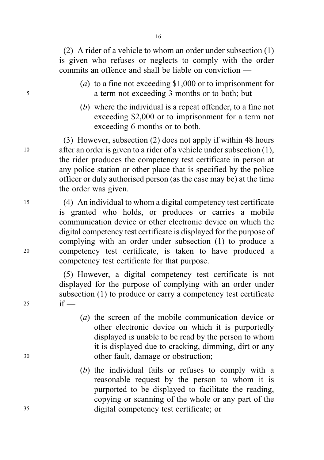(2) A rider of a vehicle to whom an order under subsection (1) is given who refuses or neglects to comply with the order commits an offence and shall be liable on conviction —

- (a) to a fine not exceeding \$1,000 or to imprisonment for <sup>5</sup> a term not exceeding 3 months or to both; but
	- (b) where the individual is a repeat offender, to a fine not exceeding \$2,000 or to imprisonment for a term not exceeding 6 months or to both.

(3) However, subsection (2) does not apply if within 48 hours <sup>10</sup> after an order is given to a rider of a vehicle under subsection (1), the rider produces the competency test certificate in person at any police station or other place that is specified by the police officer or duly authorised person (as the case may be) at the time the order was given.

<sup>15</sup> (4) An individual to whom a digital competency test certificate is granted who holds, or produces or carries a mobile communication device or other electronic device on which the digital competency test certificate is displayed for the purpose of complying with an order under subsection (1) to produce a <sup>20</sup> competency test certificate, is taken to have produced a competency test certificate for that purpose.

(5) However, a digital competency test certificate is not displayed for the purpose of complying with an order under subsection (1) to produce or carry a competency test certificate 25 if  $-$ 

- (a) the screen of the mobile communication device or other electronic device on which it is purportedly displayed is unable to be read by the person to whom it is displayed due to cracking, dimming, dirt or any <sup>30</sup> other fault, damage or obstruction;
- (b) the individual fails or refuses to comply with a reasonable request by the person to whom it is purported to be displayed to facilitate the reading, copying or scanning of the whole or any part of the <sup>35</sup> digital competency test certificate; or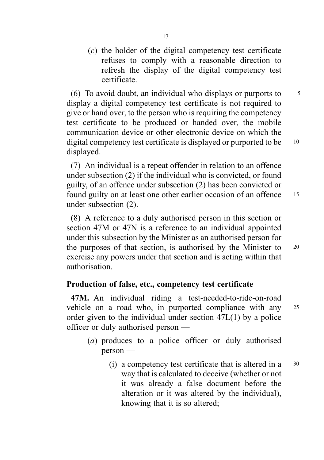(c) the holder of the digital competency test certificate refuses to comply with a reasonable direction to refresh the display of the digital competency test certificate.

(6) To avoid doubt, an individual who displays or purports to  $\frac{5}{5}$ display a digital competency test certificate is not required to give or hand over, to the person who is requiring the competency test certificate to be produced or handed over, the mobile communication device or other electronic device on which the digital competency test certificate is displayed or purported to be  $10$ displayed.

(7) An individual is a repeat offender in relation to an offence under subsection (2) if the individual who is convicted, or found guilty, of an offence under subsection (2) has been convicted or found guilty on at least one other earlier occasion of an offence 15 under subsection (2).

(8) A reference to a duly authorised person in this section or section 47M or 47N is a reference to an individual appointed under this subsection by the Minister as an authorised person for the purposes of that section, is authorised by the Minister to 20 exercise any powers under that section and is acting within that authorisation.

# Production of false, etc., competency test certificate

47M. An individual riding a test-needed-to-ride-on-road vehicle on a road who, in purported compliance with any <sup>25</sup> order given to the individual under section 47L(1) by a police officer or duly authorised person —

- (a) produces to a police officer or duly authorised person —
	- (i) a competency test certificate that is altered in a <sup>30</sup> way that is calculated to deceive (whether or not it was already a false document before the alteration or it was altered by the individual), knowing that it is so altered;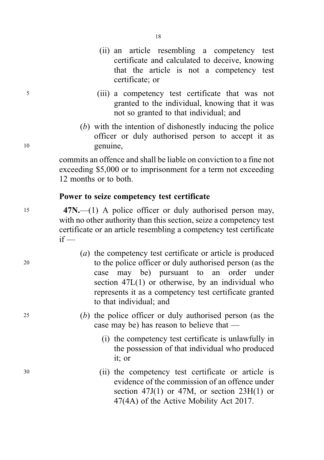- (ii) an article resembling a competency test certificate and calculated to deceive, knowing that the article is not a competency test certificate; or
- <sup>5</sup> (iii) a competency test certificate that was not granted to the individual, knowing that it was not so granted to that individual; and
- (b) with the intention of dishonestly inducing the police officer or duly authorised person to accept it as <sup>10</sup> genuine,

commits an offence and shall be liable on conviction to a fine not exceeding \$5,000 or to imprisonment for a term not exceeding 12 months or to both.

# Power to seize competency test certificate

15 47N.—(1) A police officer or duly authorised person may, with no other authority than this section, seize a competency test certificate or an article resembling a competency test certificate  $if -$ 

- (a) the competency test certificate or article is produced <sup>20</sup> to the police officer or duly authorised person (as the case may be) pursuant to an order under section 47L(1) or otherwise, by an individual who represents it as a competency test certificate granted to that individual; and
- <sup>25</sup> (b) the police officer or duly authorised person (as the case may be) has reason to believe that —
	- (i) the competency test certificate is unlawfully in the possession of that individual who produced it; or
- <sup>30</sup> (ii) the competency test certificate or article is evidence of the commission of an offence under section 47J(1) or 47M, or section  $23H(1)$  or 47(4A) of the Active Mobility Act 2017.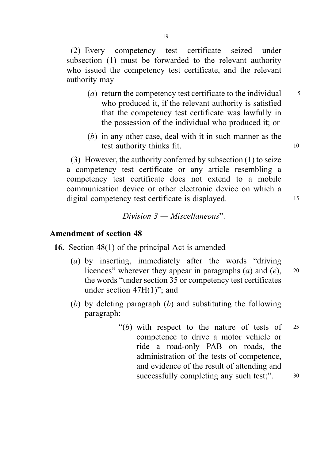(2) Every competency test certificate seized under subsection (1) must be forwarded to the relevant authority who issued the competency test certificate, and the relevant authority may —

- (*a*) return the competency test certificate to the individual  $\frac{5}{5}$ who produced it, if the relevant authority is satisfied that the competency test certificate was lawfully in the possession of the individual who produced it; or
- (b) in any other case, deal with it in such manner as the test authority thinks fit. 10

(3) However, the authority conferred by subsection (1) to seize a competency test certificate or any article resembling a competency test certificate does not extend to a mobile communication device or other electronic device on which a digital competency test certificate is displayed. 15

 $Division$   $3 - Miscellaneous$ <sup>"</sup>.

# Amendment of section 48

**16.** Section 48(1) of the principal Act is amended —

- (a) by inserting, immediately after the words "driving licences" wherever they appear in paragraphs  $(a)$  and  $(e)$ , 20 the words "under section 35 or competency test certificates under section 47H(1)"; and
- (b) by deleting paragraph  $(b)$  and substituting the following paragraph:
	- "(b) with respect to the nature of tests of  $25$ competence to drive a motor vehicle or ride a road-only PAB on roads, the administration of the tests of competence, and evidence of the result of attending and successfully completing any such test;".  $30$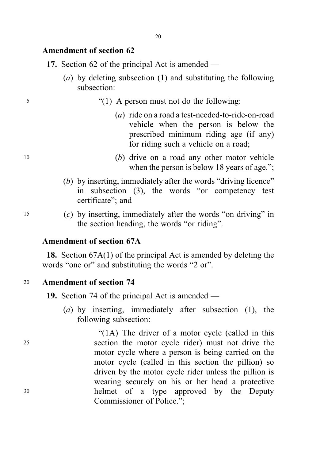## Amendment of section 62

- 17. Section 62 of the principal Act is amended
	- (a) by deleting subsection (1) and substituting the following subsection:
- <sup>5</sup> "(1) A person must not do the following:
	- (a) ride on a road a test-needed-to-ride-on-road vehicle when the person is below the prescribed minimum riding age (if any) for riding such a vehicle on a road;
- <sup>10</sup> (b) drive on a road any other motor vehicle when the person is below 18 years of age.";
	- (b) by inserting, immediately after the words "driving licence" in subsection (3), the words "or competency test certificate"; and
- <sup>15</sup> (c) by inserting, immediately after the words "on driving" in the section heading, the words "or riding".

# Amendment of section 67A

18. Section 67A(1) of the principal Act is amended by deleting the words "one or" and substituting the words "2 or".

# <sup>20</sup> Amendment of section 74

19. Section 74 of the principal Act is amended —

Commissioner of Police.";

(a) by inserting, immediately after subsection (1), the following subsection:

"(1A) The driver of a motor cycle (called in this

motor cycle where a person is being carried on the motor cycle (called in this section the pillion) so driven by the motor cycle rider unless the pillion is wearing securely on his or her head a protective

<sup>25</sup> section the motor cycle rider) must not drive the <sup>30</sup> helmet of a type approved by the Deputy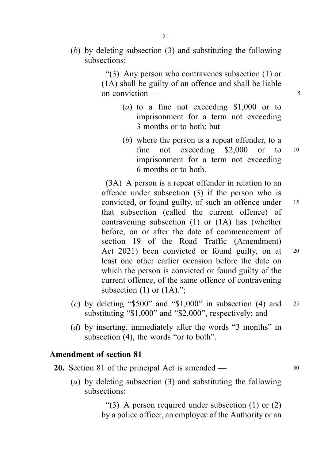(b) by deleting subsection (3) and substituting the following subsections:

> "(3) Any person who contravenes subsection (1) or (1A) shall be guilty of an offence and shall be liable on conviction  $\frac{1}{5}$

- (a) to a fine not exceeding \$1,000 or to imprisonment for a term not exceeding 3 months or to both; but
- (b) where the person is a repeat offender, to a fine not exceeding \$2,000 or to <sup>10</sup> imprisonment for a term not exceeding 6 months or to both.

(3A) A person is a repeat offender in relation to an offence under subsection (3) if the person who is convicted, or found guilty, of such an offence under 15 that subsection (called the current offence) of contravening subsection (1) or (1A) has (whether before, on or after the date of commencement of section 19 of the Road Traffic (Amendment) Act 2021) been convicted or found guilty, on at 20 least one other earlier occasion before the date on which the person is convicted or found guilty of the current offence, of the same offence of contravening subsection  $(1)$  or  $(1A)$ .";

- (c) by deleting "\$500" and "\$1,000" in subsection  $(4)$  and 25 substituting "\$1,000" and "\$2,000", respectively; and
- (d) by inserting, immediately after the words "3 months" in subsection (4), the words "or to both".

# Amendment of section 81

- **20.** Section 81 of the principal Act is amended 30
	- (a) by deleting subsection (3) and substituting the following subsections:

"(3) A person required under subsection  $(1)$  or  $(2)$ by a police officer, an employee of the Authority or an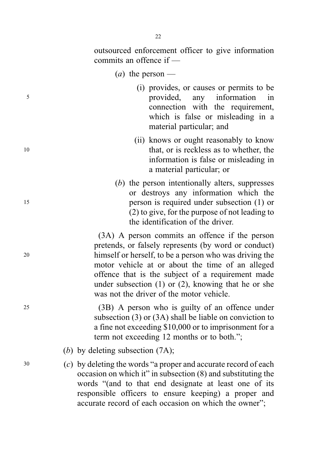outsourced enforcement officer to give information commits an offence if —

- (*a*) the person —
- (i) provides, or causes or permits to be <sup>5</sup> provided, any information in connection with the requirement, which is false or misleading in a material particular; and
- (ii) knows or ought reasonably to know 10 that, or is reckless as to whether, the information is false or misleading in a material particular; or
- (b) the person intentionally alters, suppresses or destroys any information which the <sup>15</sup> person is required under subsection (1) or (2) to give, for the purpose of not leading to the identification of the driver.

(3A) A person commits an offence if the person pretends, or falsely represents (by word or conduct) <sup>20</sup> himself or herself, to be a person who was driving the motor vehicle at or about the time of an alleged offence that is the subject of a requirement made under subsection (1) or (2), knowing that he or she was not the driver of the motor vehicle.

<sup>25</sup> (3B) A person who is guilty of an offence under subsection (3) or (3A) shall be liable on conviction to a fine not exceeding \$10,000 or to imprisonment for a term not exceeding 12 months or to both.";

(b) by deleting subsection (7A);

<sup>30</sup> (c) by deleting the words "a proper and accurate record of each occasion on which it" in subsection (8) and substituting the words "(and to that end designate at least one of its responsible officers to ensure keeping) a proper and accurate record of each occasion on which the owner";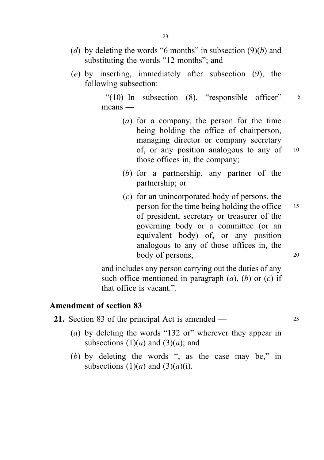- (d) by deleting the words "6 months" in subsection  $(9)(b)$  and substituting the words "12 months"; and
- (e) by inserting, immediately after subsection (9), the following subsection:

"(10) In subsection  $(8)$ , "responsible officer"  $\frac{1}{5}$ means —

- (a) for a company, the person for the time being holding the office of chairperson, managing director or company secretary of, or any position analogous to any of <sup>10</sup> those offices in, the company;
- (b) for a partnership, any partner of the partnership; or
- (c) for an unincorporated body of persons, the person for the time being holding the office <sup>15</sup> of president, secretary or treasurer of the governing body or a committee (or an equivalent body) of, or any position analogous to any of those offices in, the body of persons, 20

and includes any person carrying out the duties of any such office mentioned in paragraph  $(a)$ ,  $(b)$  or  $(c)$  if that office is vacant.".

# Amendment of section 83

21. Section 83 of the principal Act is amended — 25

- (a) by deleting the words "132 or" wherever they appear in subsections  $(1)(a)$  and  $(3)(a)$ ; and
- (b) by deleting the words ", as the case may be," in subsections  $(1)(a)$  and  $(3)(a)(i)$ .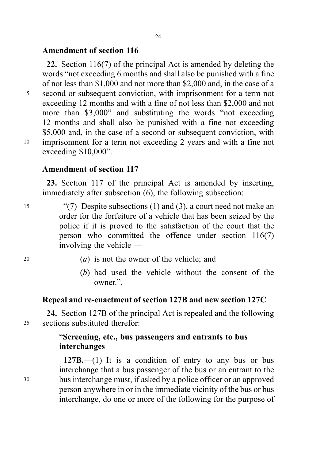# Amendment of section 116

22. Section 116(7) of the principal Act is amended by deleting the words "not exceeding 6 months and shall also be punished with a fine of not less than \$1,000 and not more than \$2,000 and, in the case of a <sup>5</sup> second or subsequent conviction, with imprisonment for a term not exceeding 12 months and with a fine of not less than \$2,000 and not more than \$3,000" and substituting the words "not exceeding 12 months and shall also be punished with a fine not exceeding \$5,000 and, in the case of a second or subsequent conviction, with <sup>10</sup> imprisonment for a term not exceeding 2 years and with a fine not exceeding \$10,000".

# Amendment of section 117

23. Section 117 of the principal Act is amended by inserting, immediately after subsection (6), the following subsection:

- <sup>15</sup> "(7) Despite subsections (1) and (3), a court need not make an order for the forfeiture of a vehicle that has been seized by the police if it is proved to the satisfaction of the court that the person who committed the offence under section 116(7) involving the vehicle —
- 
- <sup>20</sup> (a) is not the owner of the vehicle; and
	- (b) had used the vehicle without the consent of the owner.".

# Repeal and re-enactment of section 127B and new section 127C

24. Section 127B of the principal Act is repealed and the following <sup>25</sup> sections substituted therefor:

# "Screening, etc., bus passengers and entrants to bus interchanges

 $127B$ , (1) It is a condition of entry to any bus or bus interchange that a bus passenger of the bus or an entrant to the <sup>30</sup> bus interchange must, if asked by a police officer or an approved person anywhere in or in the immediate vicinity of the bus or bus interchange, do one or more of the following for the purpose of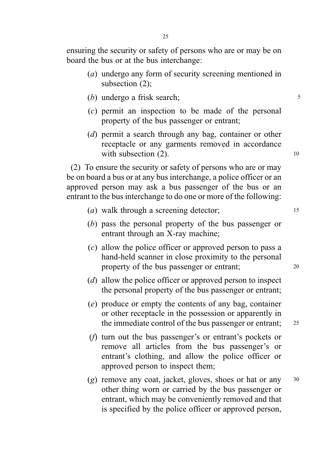ensuring the security or safety of persons who are or may be on board the bus or at the bus interchange:

- (a) undergo any form of security screening mentioned in subsection (2);
- (b) undergo a frisk search; 5
- (c) permit an inspection to be made of the personal property of the bus passenger or entrant;
- (d) permit a search through any bag, container or other receptacle or any garments removed in accordance with subsection  $(2)$ . 10

(2) To ensure the security or safety of persons who are or may be on board a bus or at any bus interchange, a police officer or an approved person may ask a bus passenger of the bus or an entrant to the bus interchange to do one or more of the following:

- (*a*) walk through a screening detector; 15
- (b) pass the personal property of the bus passenger or entrant through an X-ray machine;
- (c) allow the police officer or approved person to pass a hand-held scanner in close proximity to the personal property of the bus passenger or entrant; 20
- (d) allow the police officer or approved person to inspect the personal property of the bus passenger or entrant;
- (e) produce or empty the contents of any bag, container or other receptacle in the possession or apparently in the immediate control of the bus passenger or entrant; 25
- (f) turn out the bus passenger's or entrant's pockets or remove all articles from the bus passenger's or entrant's clothing, and allow the police officer or approved person to inspect them;
- (g) remove any coat, jacket, gloves, shoes or hat or any  $30$ other thing worn or carried by the bus passenger or entrant, which may be conveniently removed and that is specified by the police officer or approved person,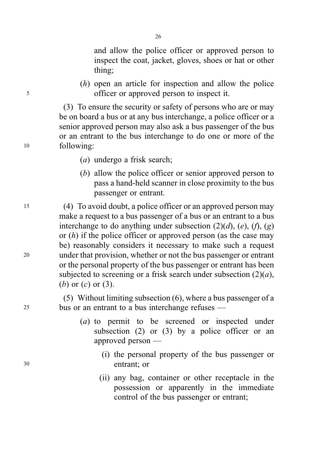and allow the police officer or approved person to inspect the coat, jacket, gloves, shoes or hat or other thing;

(h) open an article for inspection and allow the police <sup>5</sup> officer or approved person to inspect it.

(3) To ensure the security or safety of persons who are or may be on board a bus or at any bus interchange, a police officer or a senior approved person may also ask a bus passenger of the bus or an entrant to the bus interchange to do one or more of the <sup>10</sup> following:

26

- (a) undergo a frisk search;
- (b) allow the police officer or senior approved person to pass a hand-held scanner in close proximity to the bus passenger or entrant.

<sup>15</sup> (4) To avoid doubt, a police officer or an approved person may make a request to a bus passenger of a bus or an entrant to a bus interchange to do anything under subsection  $(2)(d)$ ,  $(e)$ ,  $(f)$ ,  $(g)$ or  $(h)$  if the police officer or approved person (as the case may be) reasonably considers it necessary to make such a request <sup>20</sup> under that provision, whether or not the bus passenger or entrant or the personal property of the bus passenger or entrant has been subjected to screening or a frisk search under subsection  $(2)(a)$ , (b) or  $(c)$  or  $(3)$ .

(5) Without limiting subsection (6), where a bus passenger of a <sup>25</sup> bus or an entrant to a bus interchange refuses —

- (a) to permit to be screened or inspected under subsection  $(2)$  or  $(3)$  by a police officer or an approved person —
- (i) the personal property of the bus passenger or <sup>30</sup> entrant; or
	- (ii) any bag, container or other receptacle in the possession or apparently in the immediate control of the bus passenger or entrant;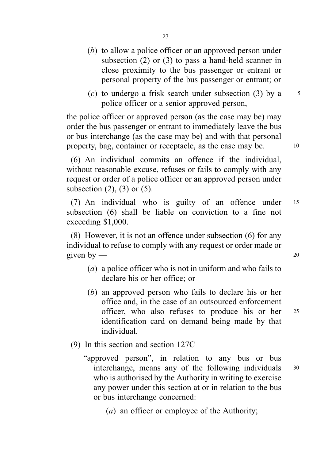- (b) to allow a police officer or an approved person under subsection (2) or (3) to pass a hand-held scanner in close proximity to the bus passenger or entrant or personal property of the bus passenger or entrant; or
- (c) to undergo a frisk search under subsection (3) by a  $5$ police officer or a senior approved person,

the police officer or approved person (as the case may be) may order the bus passenger or entrant to immediately leave the bus or bus interchange (as the case may be) and with that personal property, bag, container or receptacle, as the case may be. 10

(6) An individual commits an offence if the individual, without reasonable excuse, refuses or fails to comply with any request or order of a police officer or an approved person under subsection  $(2)$ ,  $(3)$  or  $(5)$ .

(7) An individual who is guilty of an offence under <sup>15</sup> subsection (6) shall be liable on conviction to a fine not exceeding \$1,000.

(8) However, it is not an offence under subsection (6) for any individual to refuse to comply with any request or order made or given by  $\frac{1}{20}$ 

- (a) a police officer who is not in uniform and who fails to declare his or her office; or
- (b) an approved person who fails to declare his or her office and, in the case of an outsourced enforcement officer, who also refuses to produce his or her <sup>25</sup> identification card on demand being made by that individual.
- (9) In this section and section 127C
	- "approved person", in relation to any bus or bus interchange, means any of the following individuals <sup>30</sup> who is authorised by the Authority in writing to exercise any power under this section at or in relation to the bus or bus interchange concerned:
		- (a) an officer or employee of the Authority;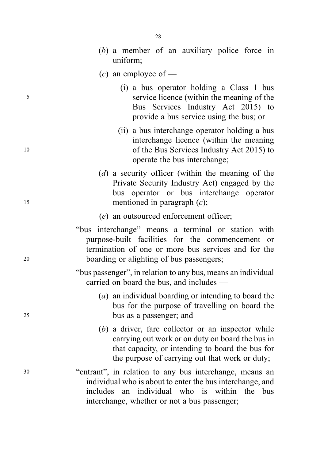- (b) a member of an auxiliary police force in uniform;
- (c) an employee of —
- (i) a bus operator holding a Class 1 bus <sup>5</sup> service licence (within the meaning of the Bus Services Industry Act 2015) to provide a bus service using the bus; or
- (ii) a bus interchange operator holding a bus interchange licence (within the meaning <sup>10</sup> of the Bus Services Industry Act 2015) to operate the bus interchange;
- (d) a security officer (within the meaning of the Private Security Industry Act) engaged by the bus operator or bus interchange operator 15 mentioned in paragraph (c);
	- (e) an outsourced enforcement officer;
- "bus interchange" means a terminal or station with purpose-built facilities for the commencement or termination of one or more bus services and for the <sup>20</sup> boarding or alighting of bus passengers;
	- "bus passenger", in relation to any bus, means an individual carried on board the bus, and includes —
- (a) an individual boarding or intending to board the bus for the purpose of travelling on board the <sup>25</sup> bus as a passenger; and
	- (b) a driver, fare collector or an inspector while carrying out work or on duty on board the bus in that capacity, or intending to board the bus for the purpose of carrying out that work or duty;
- <sup>30</sup> "entrant", in relation to any bus interchange, means an individual who is about to enter the bus interchange, and includes an individual who is within the bus interchange, whether or not a bus passenger;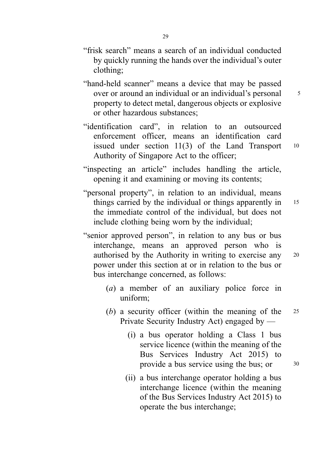- "frisk search" means a search of an individual conducted by quickly running the hands over the individual's outer clothing;
- "hand-held scanner" means a device that may be passed over or around an individual or an individual's personal  $\frac{5}{5}$ property to detect metal, dangerous objects or explosive or other hazardous substances;
- "identification card", in relation to an outsourced enforcement officer, means an identification card issued under section  $11(3)$  of the Land Transport  $10$ Authority of Singapore Act to the officer;
- "inspecting an article" includes handling the article, opening it and examining or moving its contents;
- "personal property", in relation to an individual, means things carried by the individual or things apparently in 15 the immediate control of the individual, but does not include clothing being worn by the individual;
- "senior approved person", in relation to any bus or bus interchange, means an approved person who is authorised by the Authority in writing to exercise any <sup>20</sup> power under this section at or in relation to the bus or bus interchange concerned, as follows:
	- (a) a member of an auxiliary police force in uniform;
	- (b) a security officer (within the meaning of the <sup>25</sup> Private Security Industry Act) engaged by —
		- (i) a bus operator holding a Class 1 bus service licence (within the meaning of the Bus Services Industry Act 2015) to provide a bus service using the bus; or  $30$
		- (ii) a bus interchange operator holding a bus interchange licence (within the meaning of the Bus Services Industry Act 2015) to operate the bus interchange;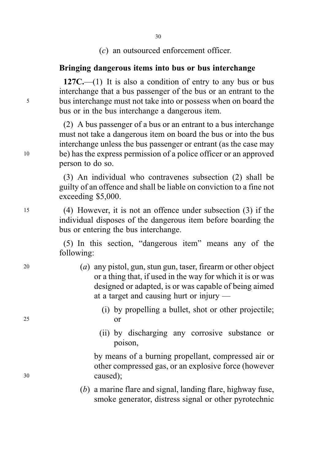(c) an outsourced enforcement officer.

### Bringing dangerous items into bus or bus interchange

 $127C$ ,—(1) It is also a condition of entry to any bus or bus interchange that a bus passenger of the bus or an entrant to the <sup>5</sup> bus interchange must not take into or possess when on board the bus or in the bus interchange a dangerous item.

(2) A bus passenger of a bus or an entrant to a bus interchange must not take a dangerous item on board the bus or into the bus interchange unless the bus passenger or entrant (as the case may <sup>10</sup> be) has the express permission of a police officer or an approved person to do so.

> (3) An individual who contravenes subsection (2) shall be guilty of an offence and shall be liable on conviction to a fine not exceeding \$5,000.

<sup>15</sup> (4) However, it is not an offence under subsection (3) if the individual disposes of the dangerous item before boarding the bus or entering the bus interchange.

> (5) In this section, "dangerous item" means any of the following:

- <sup>20</sup> (a) any pistol, gun, stun gun, taser, firearm or other object or a thing that, if used in the way for which it is or was designed or adapted, is or was capable of being aimed at a target and causing hurt or injury —
- (i) by propelling a bullet, shot or other projectile; <sup>25</sup> or
	- (ii) by discharging any corrosive substance or poison,

by means of a burning propellant, compressed air or other compressed gas, or an explosive force (however <sup>30</sup> caused);

> (b) a marine flare and signal, landing flare, highway fuse, smoke generator, distress signal or other pyrotechnic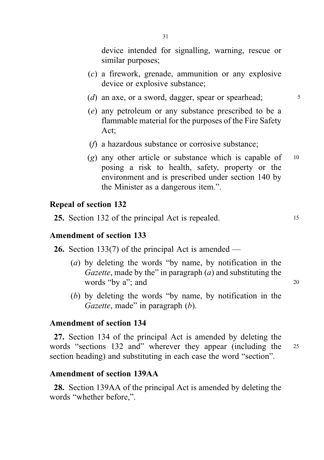device intended for signalling, warning, rescue or similar purposes;

- (c) a firework, grenade, ammunition or any explosive device or explosive substance;
- (d) an axe, or a sword, dagger, spear or spearhead;  $\frac{5}{5}$
- (e) any petroleum or any substance prescribed to be a flammable material for the purposes of the Fire Safety Act;
- (f) a hazardous substance or corrosive substance;
- (g) any other article or substance which is capable of  $10$ posing a risk to health, safety, property or the environment and is prescribed under section 140 by the Minister as a dangerous item.".

#### Repeal of section 132

25. Section 132 of the principal Act is repealed. 15

#### Amendment of section 133

26. Section 133(7) of the principal Act is amended —

- (a) by deleting the words "by name, by notification in the Gazette, made by the" in paragraph  $(a)$  and substituting the words "by a"; and 20
- (b) by deleting the words "by name, by notification in the Gazette, made" in paragraph (b).

## Amendment of section 134

27. Section 134 of the principal Act is amended by deleting the words "sections 132 and" wherever they appear (including the 25 section heading) and substituting in each case the word "section".

## Amendment of section 139AA

28. Section 139AA of the principal Act is amended by deleting the words "whether before,".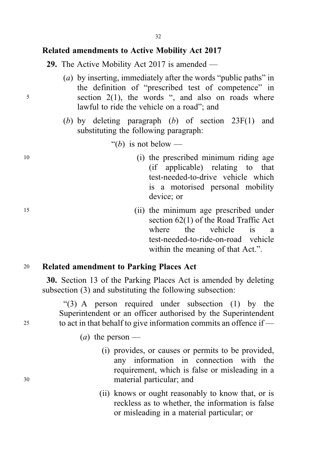## Related amendments to Active Mobility Act 2017

29. The Active Mobility Act 2017 is amended —

- (a) by inserting, immediately after the words "public paths" in the definition of "prescribed test of competence" in <sup>5</sup> section 2(1), the words ", and also on roads where lawful to ride the vehicle on a road"; and
	- (b) by deleting paragraph (b) of section  $23F(1)$  and substituting the following paragraph:
		- "(b) is not below —
- <sup>10</sup> (i) the prescribed minimum riding age (if applicable) relating to that test-needed-to-drive vehicle which is a motorised personal mobility device; or
- <sup>15</sup> (ii) the minimum age prescribed under section 62(1) of the Road Traffic Act where the vehicle is a test-needed-to-ride-on-road vehicle within the meaning of that Act.".

# <sup>20</sup> Related amendment to Parking Places Act

30. Section 13 of the Parking Places Act is amended by deleting subsection (3) and substituting the following subsection:

"(3) A person required under subsection (1) by the Superintendent or an officer authorised by the Superintendent <sup>25</sup> to act in that behalf to give information commits an offence if —

- (*a*) the person —
- (i) provides, or causes or permits to be provided, any information in connection with the requirement, which is false or misleading in a <sup>30</sup> material particular; and
	- (ii) knows or ought reasonably to know that, or is reckless as to whether, the information is false or misleading in a material particular; or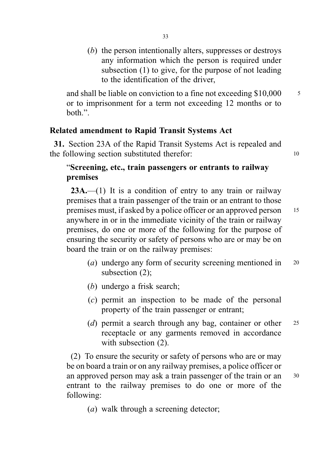(b) the person intentionally alters, suppresses or destroys any information which the person is required under subsection (1) to give, for the purpose of not leading to the identification of the driver,

and shall be liable on conviction to a fine not exceeding  $$10,000 \qquad$  <sup>5</sup> or to imprisonment for a term not exceeding 12 months or to both.".

# Related amendment to Rapid Transit Systems Act

31. Section 23A of the Rapid Transit Systems Act is repealed and the following section substituted therefor: 10

# "Screening, etc., train passengers or entrants to railway premises

 $23A$ .—(1) It is a condition of entry to any train or railway premises that a train passenger of the train or an entrant to those premises must, if asked by a police officer or an approved person <sup>15</sup> anywhere in or in the immediate vicinity of the train or railway premises, do one or more of the following for the purpose of ensuring the security or safety of persons who are or may be on board the train or on the railway premises:

- (*a*) undergo any form of security screening mentioned in 20 subsection (2);
- (b) undergo a frisk search;
- (c) permit an inspection to be made of the personal property of the train passenger or entrant;
- (d) permit a search through any bag, container or other  $25$ receptacle or any garments removed in accordance with subsection  $(2)$ .

(2) To ensure the security or safety of persons who are or may be on board a train or on any railway premises, a police officer or an approved person may ask a train passenger of the train or an <sup>30</sup> entrant to the railway premises to do one or more of the following:

(a) walk through a screening detector;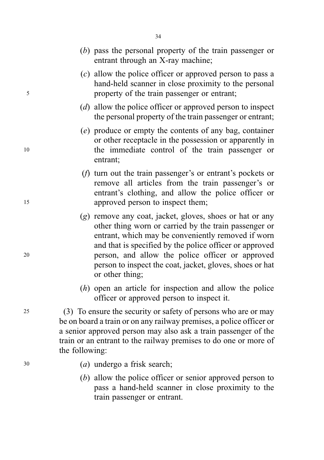|    |                                                                                                                                                                                                                                                                                               | $(b)$ pass the personal property of the train passenger or<br>entrant through an X-ray machine;                                                                                                                                                                                                                                                                       |
|----|-----------------------------------------------------------------------------------------------------------------------------------------------------------------------------------------------------------------------------------------------------------------------------------------------|-----------------------------------------------------------------------------------------------------------------------------------------------------------------------------------------------------------------------------------------------------------------------------------------------------------------------------------------------------------------------|
| 5  |                                                                                                                                                                                                                                                                                               | $(c)$ allow the police officer or approved person to pass a<br>hand-held scanner in close proximity to the personal<br>property of the train passenger or entrant;                                                                                                                                                                                                    |
|    |                                                                                                                                                                                                                                                                                               | (d) allow the police officer or approved person to inspect<br>the personal property of the train passenger or entrant;                                                                                                                                                                                                                                                |
| 10 |                                                                                                                                                                                                                                                                                               | (e) produce or empty the contents of any bag, container<br>or other receptacle in the possession or apparently in<br>the immediate control of the train passenger or<br>entrant;                                                                                                                                                                                      |
| 15 |                                                                                                                                                                                                                                                                                               | $(f)$ turn out the train passenger's or entrant's pockets or<br>remove all articles from the train passenger's or<br>entrant's clothing, and allow the police officer or<br>approved person to inspect them;                                                                                                                                                          |
| 20 |                                                                                                                                                                                                                                                                                               | (g) remove any coat, jacket, gloves, shoes or hat or any<br>other thing worn or carried by the train passenger or<br>entrant, which may be conveniently removed if worn<br>and that is specified by the police officer or approved<br>person, and allow the police officer or approved<br>person to inspect the coat, jacket, gloves, shoes or hat<br>or other thing; |
|    |                                                                                                                                                                                                                                                                                               | $(h)$ open an article for inspection and allow the police<br>officer or approved person to inspect it.                                                                                                                                                                                                                                                                |
| 25 | (3) To ensure the security or safety of persons who are or may<br>be on board a train or on any railway premises, a police officer or<br>a senior approved person may also ask a train passenger of the<br>train or an entrant to the railway premises to do one or more of<br>the following: |                                                                                                                                                                                                                                                                                                                                                                       |
| 30 |                                                                                                                                                                                                                                                                                               | $(a)$ undergo a frisk search;                                                                                                                                                                                                                                                                                                                                         |
|    |                                                                                                                                                                                                                                                                                               | (b) allow the police officer or senior approved person to                                                                                                                                                                                                                                                                                                             |

person to pass a hand-held scanner in close proximity to the train passenger or entrant.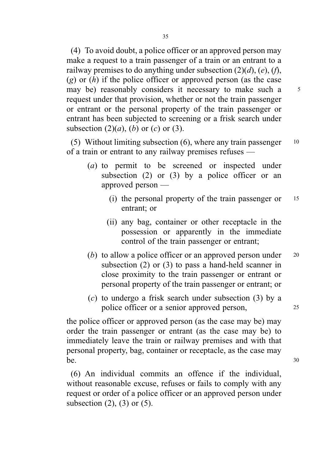(4) To avoid doubt, a police officer or an approved person may make a request to a train passenger of a train or an entrant to a railway premises to do anything under subsection  $(2)(d)$ ,  $(e)$ ,  $(f)$ ,  $(g)$  or  $(h)$  if the police officer or approved person (as the case may be) reasonably considers it necessary to make such a 5 request under that provision, whether or not the train passenger or entrant or the personal property of the train passenger or entrant has been subjected to screening or a frisk search under subsection  $(2)(a)$ ,  $(b)$  or  $(c)$  or  $(3)$ .

(5) Without limiting subsection  $(6)$ , where any train passenger  $10$ of a train or entrant to any railway premises refuses —

- (a) to permit to be screened or inspected under subsection  $(2)$  or  $(3)$  by a police officer or an approved person —
	- (i) the personal property of the train passenger or <sup>15</sup> entrant; or
	- (ii) any bag, container or other receptacle in the possession or apparently in the immediate control of the train passenger or entrant;
- (b) to allow a police officer or an approved person under  $20$ subsection (2) or (3) to pass a hand-held scanner in close proximity to the train passenger or entrant or personal property of the train passenger or entrant; or
- (c) to undergo a frisk search under subsection (3) by a police officer or a senior approved person, <sup>25</sup>

the police officer or approved person (as the case may be) may order the train passenger or entrant (as the case may be) to immediately leave the train or railway premises and with that personal property, bag, container or receptacle, as the case may  $be.$  30

(6) An individual commits an offence if the individual, without reasonable excuse, refuses or fails to comply with any request or order of a police officer or an approved person under subsection  $(2)$ ,  $(3)$  or  $(5)$ .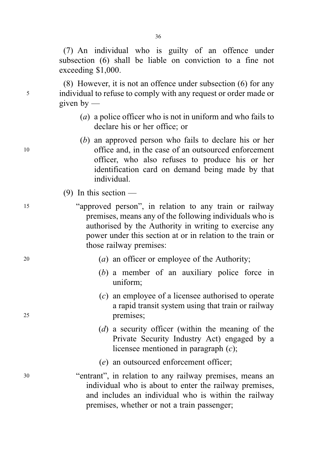(7) An individual who is guilty of an offence under subsection (6) shall be liable on conviction to a fine not exceeding \$1,000.

(8) However, it is not an offence under subsection (6) for any <sup>5</sup> individual to refuse to comply with any request or order made or given by  $-$ 

- (a) a police officer who is not in uniform and who fails to declare his or her office; or
- (b) an approved person who fails to declare his or her <sup>10</sup> office and, in the case of an outsourced enforcement officer, who also refuses to produce his or her identification card on demand being made by that individual.
	- (9) In this section —
- <sup>15</sup> "approved person", in relation to any train or railway premises, means any of the following individuals who is authorised by the Authority in writing to exercise any power under this section at or in relation to the train or those railway premises:
- $(a)$  an officer or employee of the Authority;
	- (b) a member of an auxiliary police force in uniform;
- (c) an employee of a licensee authorised to operate a rapid transit system using that train or railway <sup>25</sup> premises;
	- (d) a security officer (within the meaning of the Private Security Industry Act) engaged by a licensee mentioned in paragraph  $(c)$ ;
	- (e) an outsourced enforcement officer;
- <sup>30</sup> "entrant", in relation to any railway premises, means an individual who is about to enter the railway premises, and includes an individual who is within the railway premises, whether or not a train passenger;

36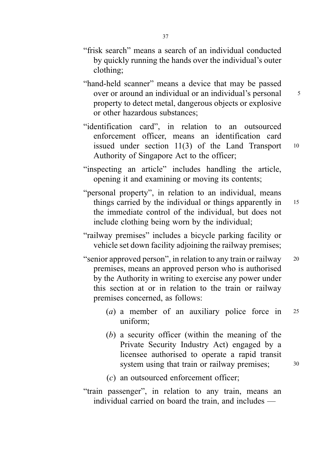- "hand-held scanner" means a device that may be passed over or around an individual or an individual's personal  $\frac{5}{5}$ property to detect metal, dangerous objects or explosive or other hazardous substances;
- "identification card", in relation to an outsourced enforcement officer, means an identification card issued under section  $11(3)$  of the Land Transport  $10$ Authority of Singapore Act to the officer;
- "inspecting an article" includes handling the article, opening it and examining or moving its contents;
- "personal property", in relation to an individual, means things carried by the individual or things apparently in 15 the immediate control of the individual, but does not include clothing being worn by the individual;
- "railway premises" includes a bicycle parking facility or vehicle set down facility adjoining the railway premises;
- "senior approved person", in relation to any train or railway <sup>20</sup> premises, means an approved person who is authorised by the Authority in writing to exercise any power under this section at or in relation to the train or railway premises concerned, as follows:
	- (*a*) a member of an auxiliary police force in  $25$ uniform;
	- (b) a security officer (within the meaning of the Private Security Industry Act) engaged by a licensee authorised to operate a rapid transit system using that train or railway premises; 30
	- (c) an outsourced enforcement officer;
- "train passenger", in relation to any train, means an individual carried on board the train, and includes —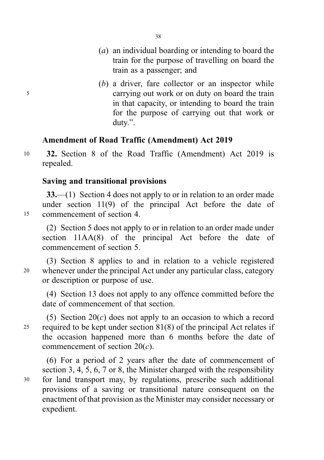- (a) an individual boarding or intending to board the train for the purpose of travelling on board the train as a passenger; and
- (b) a driver, fare collector or an inspector while <sup>5</sup> carrying out work or on duty on board the train in that capacity, or intending to board the train for the purpose of carrying out that work or duty.".

# Amendment of Road Traffic (Amendment) Act 2019

<sup>10</sup> 32. Section 8 of the Road Traffic (Amendment) Act 2019 is repealed.

# Saving and transitional provisions

33.—(1) Section 4 does not apply to or in relation to an order made under section 11(9) of the principal Act before the date of <sup>15</sup> commencement of section 4.

(2) Section 5 does not apply to or in relation to an order made under section 11AA(8) of the principal Act before the date of commencement of section 5.

(3) Section 8 applies to and in relation to a vehicle registered <sup>20</sup> whenever under the principal Act under any particular class, category or description or purpose of use.

(4) Section 13 does not apply to any offence committed before the date of commencement of that section.

(5) Section  $20(c)$  does not apply to an occasion to which a record 25 required to be kept under section  $81(8)$  of the principal Act relates if the occasion happened more than 6 months before the date of commencement of section  $20(c)$ .

(6) For a period of 2 years after the date of commencement of section 3, 4, 5, 6, 7 or 8, the Minister charged with the responsibility <sup>30</sup> for land transport may, by regulations, prescribe such additional provisions of a saving or transitional nature consequent on the enactment of that provision as the Minister may consider necessary or expedient.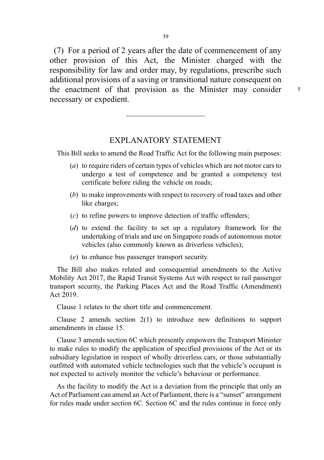(7) For a period of 2 years after the date of commencement of any other provision of this Act, the Minister charged with the responsibility for law and order may, by regulations, prescribe such additional provisions of a saving or transitional nature consequent on the enactment of that provision as the Minister may consider 5 necessary or expedient.

# EXPLANATORY STATEMENT

This Bill seeks to amend the Road Traffic Act for the following main purposes:

- (a) to require riders of certain types of vehicles which are not motor cars to undergo a test of competence and be granted a competency test certificate before riding the vehicle on roads;
- (b) to make improvements with respect to recovery of road taxes and other like charges;
- (c) to refine powers to improve detection of traffic offenders;
- (d) to extend the facility to set up a regulatory framework for the undertaking of trials and use on Singapore roads of autonomous motor vehicles (also commonly known as driverless vehicles);
- (e) to enhance bus passenger transport security.

The Bill also makes related and consequential amendments to the Active Mobility Act 2017, the Rapid Transit Systems Act with respect to rail passenger transport security, the Parking Places Act and the Road Traffic (Amendment) Act 2019.

Clause 1 relates to the short title and commencement.

Clause 2 amends section 2(1) to introduce new definitions to support amendments in clause 15.

Clause 3 amends section 6C which presently empowers the Transport Minister to make rules to modify the application of specified provisions of the Act or its subsidiary legislation in respect of wholly driverless cars, or those substantially outfitted with automated vehicle technologies such that the vehicle's occupant is not expected to actively monitor the vehicle's behaviour or performance.

As the facility to modify the Act is a deviation from the principle that only an Act of Parliament can amend an Act of Parliament, there is a "sunset" arrangement for rules made under section 6C. Section 6C and the rules continue in force only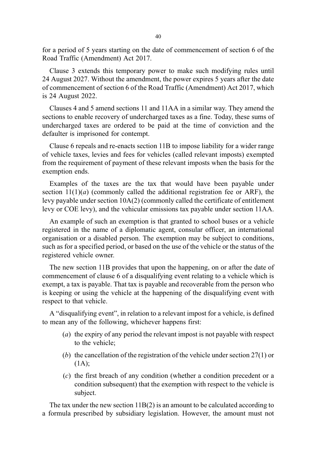for a period of 5 years starting on the date of commencement of section 6 of the Road Traffic (Amendment) Act 2017.

Clause 3 extends this temporary power to make such modifying rules until 24 August 2027. Without the amendment, the power expires 5 years after the date of commencement of section 6 of the Road Traffic (Amendment) Act 2017, which is 24 August 2022.

Clauses 4 and 5 amend sections 11 and 11AA in a similar way. They amend the sections to enable recovery of undercharged taxes as a fine. Today, these sums of undercharged taxes are ordered to be paid at the time of conviction and the defaulter is imprisoned for contempt.

Clause 6 repeals and re-enacts section 11B to impose liability for a wider range of vehicle taxes, levies and fees for vehicles (called relevant imposts) exempted from the requirement of payment of these relevant imposts when the basis for the exemption ends.

Examples of the taxes are the tax that would have been payable under section  $11(1)(a)$  (commonly called the additional registration fee or ARF), the levy payable under section 10A(2) (commonly called the certificate of entitlement levy or COE levy), and the vehicular emissions tax payable under section 11AA.

An example of such an exemption is that granted to school buses or a vehicle registered in the name of a diplomatic agent, consular officer, an international organisation or a disabled person. The exemption may be subject to conditions, such as for a specified period, or based on the use of the vehicle or the status of the registered vehicle owner.

The new section 11B provides that upon the happening, on or after the date of commencement of clause 6 of a disqualifying event relating to a vehicle which is exempt, a tax is payable. That tax is payable and recoverable from the person who is keeping or using the vehicle at the happening of the disqualifying event with respect to that vehicle.

A "disqualifying event", in relation to a relevant impost for a vehicle, is defined to mean any of the following, whichever happens first:

- (a) the expiry of any period the relevant impost is not payable with respect to the vehicle;
- (b) the cancellation of the registration of the vehicle under section 27(1) or  $(1A)$ :
- (c) the first breach of any condition (whether a condition precedent or a condition subsequent) that the exemption with respect to the vehicle is subject.

The tax under the new section 11B(2) is an amount to be calculated according to a formula prescribed by subsidiary legislation. However, the amount must not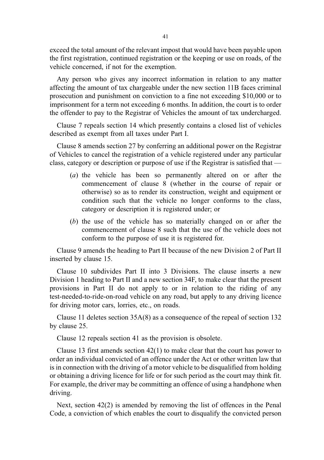exceed the total amount of the relevant impost that would have been payable upon the first registration, continued registration or the keeping or use on roads, of the vehicle concerned, if not for the exemption.

Any person who gives any incorrect information in relation to any matter affecting the amount of tax chargeable under the new section 11B faces criminal prosecution and punishment on conviction to a fine not exceeding \$10,000 or to imprisonment for a term not exceeding 6 months. In addition, the court is to order the offender to pay to the Registrar of Vehicles the amount of tax undercharged.

Clause 7 repeals section 14 which presently contains a closed list of vehicles described as exempt from all taxes under Part I.

Clause 8 amends section 27 by conferring an additional power on the Registrar of Vehicles to cancel the registration of a vehicle registered under any particular class, category or description or purpose of use if the Registrar is satisfied that —

- (a) the vehicle has been so permanently altered on or after the commencement of clause 8 (whether in the course of repair or otherwise) so as to render its construction, weight and equipment or condition such that the vehicle no longer conforms to the class, category or description it is registered under; or
- (b) the use of the vehicle has so materially changed on or after the commencement of clause 8 such that the use of the vehicle does not conform to the purpose of use it is registered for.

Clause 9 amends the heading to Part II because of the new Division 2 of Part II inserted by clause 15.

Clause 10 subdivides Part II into 3 Divisions. The clause inserts a new Division 1 heading to Part II and a new section 34F, to make clear that the present provisions in Part II do not apply to or in relation to the riding of any test-needed-to-ride-on-road vehicle on any road, but apply to any driving licence for driving motor cars, lorries, etc., on roads.

Clause 11 deletes section 35A(8) as a consequence of the repeal of section 132 by clause 25.

Clause 12 repeals section 41 as the provision is obsolete.

Clause 13 first amends section 42(1) to make clear that the court has power to order an individual convicted of an offence under the Act or other written law that is in connection with the driving of a motor vehicle to be disqualified from holding or obtaining a driving licence for life or for such period as the court may think fit. For example, the driver may be committing an offence of using a handphone when driving.

Next, section 42(2) is amended by removing the list of offences in the Penal Code, a conviction of which enables the court to disqualify the convicted person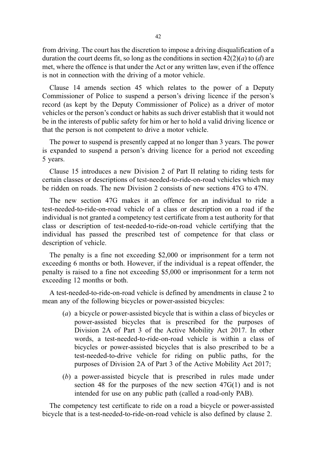from driving. The court has the discretion to impose a driving disqualification of a duration the court deems fit, so long as the conditions in section  $42(2)(a)$  to  $(d)$  are met, where the offence is that under the Act or any written law, even if the offence is not in connection with the driving of a motor vehicle.

Clause 14 amends section 45 which relates to the power of a Deputy Commissioner of Police to suspend a person's driving licence if the person's record (as kept by the Deputy Commissioner of Police) as a driver of motor vehicles or the person's conduct or habits as such driver establish that it would not be in the interests of public safety for him or her to hold a valid driving licence or that the person is not competent to drive a motor vehicle.

The power to suspend is presently capped at no longer than 3 years. The power is expanded to suspend a person's driving licence for a period not exceeding 5 years.

Clause 15 introduces a new Division 2 of Part II relating to riding tests for certain classes or descriptions of test-needed-to-ride-on-road vehicles which may be ridden on roads. The new Division 2 consists of new sections 47G to 47N.

The new section 47G makes it an offence for an individual to ride a test-needed-to-ride-on-road vehicle of a class or description on a road if the individual is not granted a competency test certificate from a test authority for that class or description of test-needed-to-ride-on-road vehicle certifying that the individual has passed the prescribed test of competence for that class or description of vehicle.

The penalty is a fine not exceeding \$2,000 or imprisonment for a term not exceeding 6 months or both. However, if the individual is a repeat offender, the penalty is raised to a fine not exceeding \$5,000 or imprisonment for a term not exceeding 12 months or both.

A test-needed-to-ride-on-road vehicle is defined by amendments in clause 2 to mean any of the following bicycles or power-assisted bicycles:

- (a) a bicycle or power-assisted bicycle that is within a class of bicycles or power-assisted bicycles that is prescribed for the purposes of Division 2A of Part 3 of the Active Mobility Act 2017. In other words, a test-needed-to-ride-on-road vehicle is within a class of bicycles or power-assisted bicycles that is also prescribed to be a test-needed-to-drive vehicle for riding on public paths, for the purposes of Division 2A of Part 3 of the Active Mobility Act 2017;
- (b) a power-assisted bicycle that is prescribed in rules made under section 48 for the purposes of the new section 47G(1) and is not intended for use on any public path (called a road-only PAB).

The competency test certificate to ride on a road a bicycle or power-assisted bicycle that is a test-needed-to-ride-on-road vehicle is also defined by clause 2.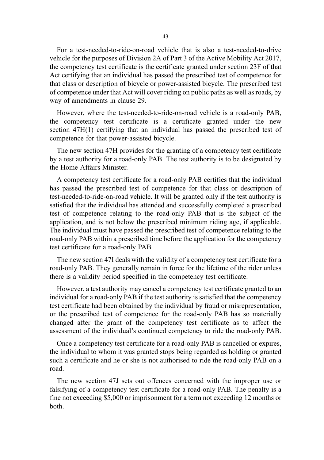For a test-needed-to-ride-on-road vehicle that is also a test-needed-to-drive vehicle for the purposes of Division 2A of Part 3 of the Active Mobility Act 2017, the competency test certificate is the certificate granted under section 23F of that Act certifying that an individual has passed the prescribed test of competence for that class or description of bicycle or power-assisted bicycle. The prescribed test of competence under that Act will cover riding on public paths as well as roads, by way of amendments in clause 29.

However, where the test-needed-to-ride-on-road vehicle is a road-only PAB, the competency test certificate is a certificate granted under the new section 47H(1) certifying that an individual has passed the prescribed test of competence for that power-assisted bicycle.

The new section 47H provides for the granting of a competency test certificate by a test authority for a road-only PAB. The test authority is to be designated by the Home Affairs Minister.

A competency test certificate for a road-only PAB certifies that the individual has passed the prescribed test of competence for that class or description of test-needed-to-ride-on-road vehicle. It will be granted only if the test authority is satisfied that the individual has attended and successfully completed a prescribed test of competence relating to the road-only PAB that is the subject of the application, and is not below the prescribed minimum riding age, if applicable. The individual must have passed the prescribed test of competence relating to the road-only PAB within a prescribed time before the application for the competency test certificate for a road-only PAB.

The new section 47I deals with the validity of a competency test certificate for a road-only PAB. They generally remain in force for the lifetime of the rider unless there is a validity period specified in the competency test certificate.

However, a test authority may cancel a competency test certificate granted to an individual for a road-only PAB if the test authority is satisfied that the competency test certificate had been obtained by the individual by fraud or misrepresentation, or the prescribed test of competence for the road-only PAB has so materially changed after the grant of the competency test certificate as to affect the assessment of the individual's continued competency to ride the road-only PAB.

Once a competency test certificate for a road-only PAB is cancelled or expires, the individual to whom it was granted stops being regarded as holding or granted such a certificate and he or she is not authorised to ride the road-only PAB on a road.

The new section 47J sets out offences concerned with the improper use or falsifying of a competency test certificate for a road-only PAB. The penalty is a fine not exceeding \$5,000 or imprisonment for a term not exceeding 12 months or both.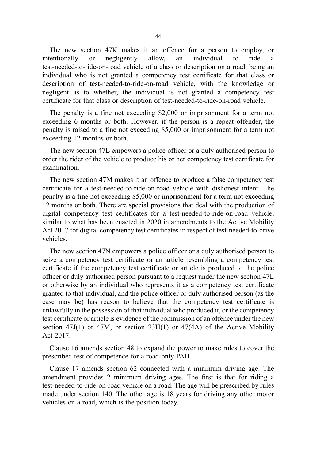The new section 47K makes it an offence for a person to employ, or intentionally or negligently allow, an individual to ride a test-needed-to-ride-on-road vehicle of a class or description on a road, being an individual who is not granted a competency test certificate for that class or description of test-needed-to-ride-on-road vehicle, with the knowledge or negligent as to whether, the individual is not granted a competency test certificate for that class or description of test-needed-to-ride-on-road vehicle.

The penalty is a fine not exceeding \$2,000 or imprisonment for a term not exceeding 6 months or both. However, if the person is a repeat offender, the penalty is raised to a fine not exceeding \$5,000 or imprisonment for a term not exceeding 12 months or both.

The new section 47L empowers a police officer or a duly authorised person to order the rider of the vehicle to produce his or her competency test certificate for examination.

The new section 47M makes it an offence to produce a false competency test certificate for a test-needed-to-ride-on-road vehicle with dishonest intent. The penalty is a fine not exceeding \$5,000 or imprisonment for a term not exceeding 12 months or both. There are special provisions that deal with the production of digital competency test certificates for a test-needed-to-ride-on-road vehicle, similar to what has been enacted in 2020 in amendments to the Active Mobility Act 2017 for digital competency test certificates in respect of test-needed-to-drive vehicles.

The new section 47N empowers a police officer or a duly authorised person to seize a competency test certificate or an article resembling a competency test certificate if the competency test certificate or article is produced to the police officer or duly authorised person pursuant to a request under the new section 47L or otherwise by an individual who represents it as a competency test certificate granted to that individual, and the police officer or duly authorised person (as the case may be) has reason to believe that the competency test certificate is unlawfully in the possession of that individual who produced it, or the competency test certificate or article is evidence of the commission of an offence under the new section 47J(1) or 47M, or section  $23H(1)$  or 47(4A) of the Active Mobility Act 2017.

Clause 16 amends section 48 to expand the power to make rules to cover the prescribed test of competence for a road-only PAB.

Clause 17 amends section 62 connected with a minimum driving age. The amendment provides 2 minimum driving ages. The first is that for riding a test-needed-to-ride-on-road vehicle on a road. The age will be prescribed by rules made under section 140. The other age is 18 years for driving any other motor vehicles on a road, which is the position today.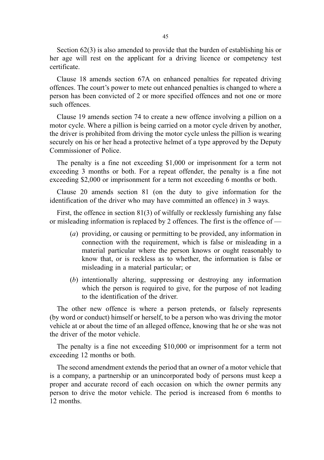Section 62(3) is also amended to provide that the burden of establishing his or her age will rest on the applicant for a driving licence or competency test certificate.

Clause 18 amends section 67A on enhanced penalties for repeated driving offences. The court's power to mete out enhanced penalties is changed to where a person has been convicted of 2 or more specified offences and not one or more such offences.

Clause 19 amends section 74 to create a new offence involving a pillion on a motor cycle. Where a pillion is being carried on a motor cycle driven by another, the driver is prohibited from driving the motor cycle unless the pillion is wearing securely on his or her head a protective helmet of a type approved by the Deputy Commissioner of Police.

The penalty is a fine not exceeding \$1,000 or imprisonment for a term not exceeding 3 months or both. For a repeat offender, the penalty is a fine not exceeding \$2,000 or imprisonment for a term not exceeding 6 months or both.

Clause 20 amends section 81 (on the duty to give information for the identification of the driver who may have committed an offence) in 3 ways.

First, the offence in section 81(3) of wilfully or recklessly furnishing any false or misleading information is replaced by 2 offences. The first is the offence of —

- (a) providing, or causing or permitting to be provided, any information in connection with the requirement, which is false or misleading in a material particular where the person knows or ought reasonably to know that, or is reckless as to whether, the information is false or misleading in a material particular; or
- (b) intentionally altering, suppressing or destroying any information which the person is required to give, for the purpose of not leading to the identification of the driver.

The other new offence is where a person pretends, or falsely represents (by word or conduct) himself or herself, to be a person who was driving the motor vehicle at or about the time of an alleged offence, knowing that he or she was not the driver of the motor vehicle.

The penalty is a fine not exceeding \$10,000 or imprisonment for a term not exceeding 12 months or both.

The second amendment extends the period that an owner of a motor vehicle that is a company, a partnership or an unincorporated body of persons must keep a proper and accurate record of each occasion on which the owner permits any person to drive the motor vehicle. The period is increased from 6 months to 12 months.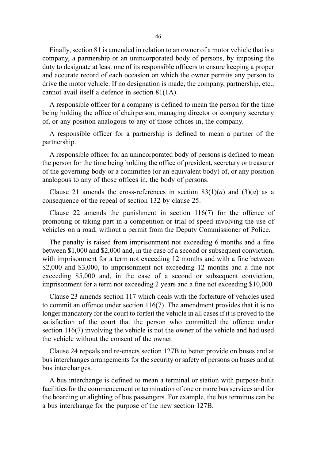Finally, section 81 is amended in relation to an owner of a motor vehicle that is a company, a partnership or an unincorporated body of persons, by imposing the duty to designate at least one of its responsible officers to ensure keeping a proper and accurate record of each occasion on which the owner permits any person to drive the motor vehicle. If no designation is made, the company, partnership, etc., cannot avail itself a defence in section 81(1A).

A responsible officer for a company is defined to mean the person for the time being holding the office of chairperson, managing director or company secretary of, or any position analogous to any of those offices in, the company.

A responsible officer for a partnership is defined to mean a partner of the partnership.

A responsible officer for an unincorporated body of persons is defined to mean the person for the time being holding the office of president, secretary or treasurer of the governing body or a committee (or an equivalent body) of, or any position analogous to any of those offices in, the body of persons.

Clause 21 amends the cross-references in section  $83(1)(a)$  and  $(3)(a)$  as a consequence of the repeal of section 132 by clause 25.

Clause 22 amends the punishment in section 116(7) for the offence of promoting or taking part in a competition or trial of speed involving the use of vehicles on a road, without a permit from the Deputy Commissioner of Police.

The penalty is raised from imprisonment not exceeding 6 months and a fine between \$1,000 and \$2,000 and, in the case of a second or subsequent conviction, with imprisonment for a term not exceeding 12 months and with a fine between \$2,000 and \$3,000, to imprisonment not exceeding 12 months and a fine not exceeding \$5,000 and, in the case of a second or subsequent conviction, imprisonment for a term not exceeding 2 years and a fine not exceeding \$10,000.

Clause 23 amends section 117 which deals with the forfeiture of vehicles used to commit an offence under section 116(7). The amendment provides that it is no longer mandatory for the court to forfeit the vehicle in all cases if it is proved to the satisfaction of the court that the person who committed the offence under section 116(7) involving the vehicle is not the owner of the vehicle and had used the vehicle without the consent of the owner.

Clause 24 repeals and re-enacts section 127B to better provide on buses and at bus interchanges arrangements for the security or safety of persons on buses and at bus interchanges.

A bus interchange is defined to mean a terminal or station with purpose-built facilities for the commencement or termination of one or more bus services and for the boarding or alighting of bus passengers. For example, the bus terminus can be a bus interchange for the purpose of the new section 127B.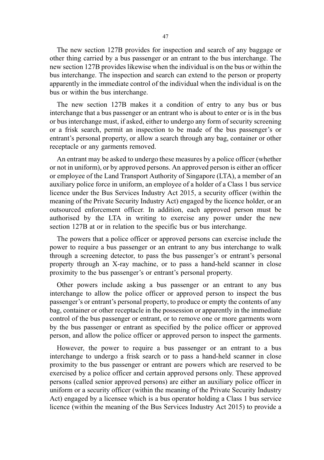The new section 127B provides for inspection and search of any baggage or other thing carried by a bus passenger or an entrant to the bus interchange. The new section 127B provides likewise when the individual is on the bus or within the bus interchange. The inspection and search can extend to the person or property apparently in the immediate control of the individual when the individual is on the bus or within the bus interchange.

The new section 127B makes it a condition of entry to any bus or bus interchange that a bus passenger or an entrant who is about to enter or is in the bus or bus interchange must, if asked, either to undergo any form of security screening or a frisk search, permit an inspection to be made of the bus passenger's or entrant's personal property, or allow a search through any bag, container or other receptacle or any garments removed.

An entrant may be asked to undergo these measures by a police officer (whether or not in uniform), or by approved persons. An approved person is either an officer or employee of the Land Transport Authority of Singapore (LTA), a member of an auxiliary police force in uniform, an employee of a holder of a Class 1 bus service licence under the Bus Services Industry Act 2015, a security officer (within the meaning of the Private Security Industry Act) engaged by the licence holder, or an outsourced enforcement officer. In addition, each approved person must be authorised by the LTA in writing to exercise any power under the new section 127B at or in relation to the specific bus or bus interchange.

The powers that a police officer or approved persons can exercise include the power to require a bus passenger or an entrant to any bus interchange to walk through a screening detector, to pass the bus passenger's or entrant's personal property through an X-ray machine, or to pass a hand-held scanner in close proximity to the bus passenger's or entrant's personal property.

Other powers include asking a bus passenger or an entrant to any bus interchange to allow the police officer or approved person to inspect the bus passenger's or entrant's personal property, to produce or empty the contents of any bag, container or other receptacle in the possession or apparently in the immediate control of the bus passenger or entrant, or to remove one or more garments worn by the bus passenger or entrant as specified by the police officer or approved person, and allow the police officer or approved person to inspect the garments.

However, the power to require a bus passenger or an entrant to a bus interchange to undergo a frisk search or to pass a hand-held scanner in close proximity to the bus passenger or entrant are powers which are reserved to be exercised by a police officer and certain approved persons only. These approved persons (called senior approved persons) are either an auxiliary police officer in uniform or a security officer (within the meaning of the Private Security Industry Act) engaged by a licensee which is a bus operator holding a Class 1 bus service licence (within the meaning of the Bus Services Industry Act 2015) to provide a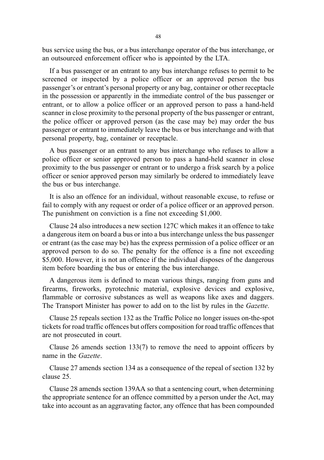bus service using the bus, or a bus interchange operator of the bus interchange, or an outsourced enforcement officer who is appointed by the LTA.

If a bus passenger or an entrant to any bus interchange refuses to permit to be screened or inspected by a police officer or an approved person the bus passenger's or entrant's personal property or any bag, container or other receptacle in the possession or apparently in the immediate control of the bus passenger or entrant, or to allow a police officer or an approved person to pass a hand-held scanner in close proximity to the personal property of the bus passenger or entrant, the police officer or approved person (as the case may be) may order the bus passenger or entrant to immediately leave the bus or bus interchange and with that personal property, bag, container or receptacle.

A bus passenger or an entrant to any bus interchange who refuses to allow a police officer or senior approved person to pass a hand-held scanner in close proximity to the bus passenger or entrant or to undergo a frisk search by a police officer or senior approved person may similarly be ordered to immediately leave the bus or bus interchange.

It is also an offence for an individual, without reasonable excuse, to refuse or fail to comply with any request or order of a police officer or an approved person. The punishment on conviction is a fine not exceeding \$1,000.

Clause 24 also introduces a new section 127C which makes it an offence to take a dangerous item on board a bus or into a bus interchange unless the bus passenger or entrant (as the case may be) has the express permission of a police officer or an approved person to do so. The penalty for the offence is a fine not exceeding \$5,000. However, it is not an offence if the individual disposes of the dangerous item before boarding the bus or entering the bus interchange.

A dangerous item is defined to mean various things, ranging from guns and firearms, fireworks, pyrotechnic material, explosive devices and explosive, flammable or corrosive substances as well as weapons like axes and daggers. The Transport Minister has power to add on to the list by rules in the Gazette.

Clause 25 repeals section 132 as the Traffic Police no longer issues on-the-spot tickets for road traffic offences but offers composition for road traffic offences that are not prosecuted in court.

Clause 26 amends section 133(7) to remove the need to appoint officers by name in the *Gazette*.

Clause 27 amends section 134 as a consequence of the repeal of section 132 by clause 25.

Clause 28 amends section 139AA so that a sentencing court, when determining the appropriate sentence for an offence committed by a person under the Act, may take into account as an aggravating factor, any offence that has been compounded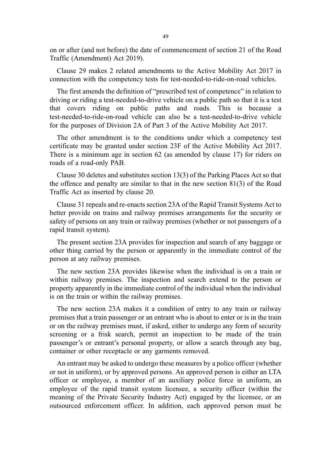on or after (and not before) the date of commencement of section 21 of the Road Traffic (Amendment) Act 2019).

Clause 29 makes 2 related amendments to the Active Mobility Act 2017 in connection with the competency tests for test-needed-to-ride-on-road vehicles.

The first amends the definition of "prescribed test of competence" in relation to driving or riding a test-needed-to-drive vehicle on a public path so that it is a test that covers riding on public paths and roads. This is because a test-needed-to-ride-on-road vehicle can also be a test-needed-to-drive vehicle for the purposes of Division 2A of Part 3 of the Active Mobility Act 2017.

The other amendment is to the conditions under which a competency test certificate may be granted under section 23F of the Active Mobility Act 2017. There is a minimum age in section 62 (as amended by clause 17) for riders on roads of a road-only PAB.

Clause 30 deletes and substitutes section 13(3) of the Parking Places Act so that the offence and penalty are similar to that in the new section 81(3) of the Road Traffic Act as inserted by clause 20.

Clause 31 repeals and re-enacts section 23A of the Rapid Transit Systems Act to better provide on trains and railway premises arrangements for the security or safety of persons on any train or railway premises (whether or not passengers of a rapid transit system).

The present section 23A provides for inspection and search of any baggage or other thing carried by the person or apparently in the immediate control of the person at any railway premises.

The new section 23A provides likewise when the individual is on a train or within railway premises. The inspection and search extend to the person or property apparently in the immediate control of the individual when the individual is on the train or within the railway premises.

The new section 23A makes it a condition of entry to any train or railway premises that a train passenger or an entrant who is about to enter or is in the train or on the railway premises must, if asked, either to undergo any form of security screening or a frisk search, permit an inspection to be made of the train passenger's or entrant's personal property, or allow a search through any bag, container or other receptacle or any garments removed.

An entrant may be asked to undergo these measures by a police officer (whether or not in uniform), or by approved persons. An approved person is either an LTA officer or employee, a member of an auxiliary police force in uniform, an employee of the rapid transit system licensee, a security officer (within the meaning of the Private Security Industry Act) engaged by the licensee, or an outsourced enforcement officer. In addition, each approved person must be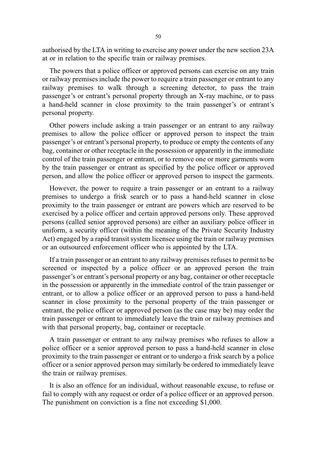authorised by the LTA in writing to exercise any power under the new section 23A at or in relation to the specific train or railway premises.

The powers that a police officer or approved persons can exercise on any train or railway premises include the power to require a train passenger or entrant to any railway premises to walk through a screening detector, to pass the train passenger's or entrant's personal property through an X-ray machine, or to pass a hand-held scanner in close proximity to the train passenger's or entrant's personal property.

Other powers include asking a train passenger or an entrant to any railway premises to allow the police officer or approved person to inspect the train passenger's or entrant's personal property, to produce or empty the contents of any bag, container or other receptacle in the possession or apparently in the immediate control of the train passenger or entrant, or to remove one or more garments worn by the train passenger or entrant as specified by the police officer or approved person, and allow the police officer or approved person to inspect the garments.

However, the power to require a train passenger or an entrant to a railway premises to undergo a frisk search or to pass a hand-held scanner in close proximity to the train passenger or entrant are powers which are reserved to be exercised by a police officer and certain approved persons only. These approved persons (called senior approved persons) are either an auxiliary police officer in uniform, a security officer (within the meaning of the Private Security Industry Act) engaged by a rapid transit system licensee using the train or railway premises or an outsourced enforcement officer who is appointed by the LTA.

If a train passenger or an entrant to any railway premises refuses to permit to be screened or inspected by a police officer or an approved person the train passenger's or entrant's personal property or any bag, container or other receptacle in the possession or apparently in the immediate control of the train passenger or entrant, or to allow a police officer or an approved person to pass a hand-held scanner in close proximity to the personal property of the train passenger or entrant, the police officer or approved person (as the case may be) may order the train passenger or entrant to immediately leave the train or railway premises and with that personal property, bag, container or receptacle.

A train passenger or entrant to any railway premises who refuses to allow a police officer or a senior approved person to pass a hand-held scanner in close proximity to the train passenger or entrant or to undergo a frisk search by a police officer or a senior approved person may similarly be ordered to immediately leave the train or railway premises.

It is also an offence for an individual, without reasonable excuse, to refuse or fail to comply with any request or order of a police officer or an approved person. The punishment on conviction is a fine not exceeding \$1,000.